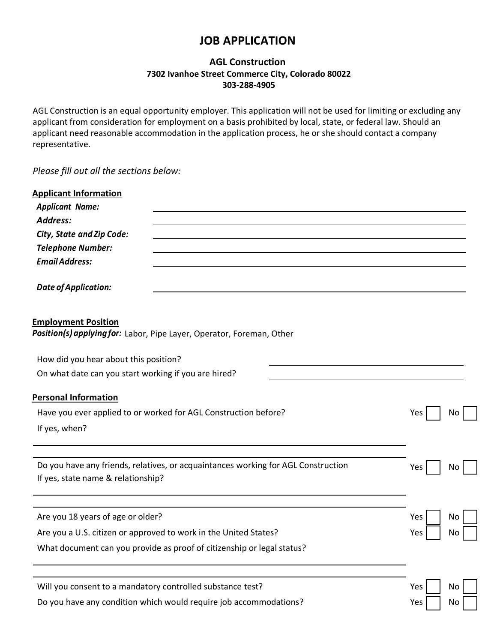# **JOB APPLICATION**

# **AGL Construction 7302 Ivanhoe Street Commerce City, Colorado 80022 303-288-4905**

AGL Construction is an equal opportunity employer. This application will not be used for limiting or excluding any applicant from consideration for employment on a basis prohibited by local, state, or federal law. Should an applicant need reasonable accommodation in the application process, he or she should contact a company representative.

*Please fill out all the sections below:*

| <b>Applicant Information</b><br><b>Applicant Name:</b><br><b>Address:</b><br>City, State and Zip Code:<br><b>Telephone Number:</b><br><b>Email Address:</b> |            |
|-------------------------------------------------------------------------------------------------------------------------------------------------------------|------------|
| <b>Date of Application:</b>                                                                                                                                 |            |
| <b>Employment Position</b><br>Position(s) applying for: Labor, Pipe Layer, Operator, Foreman, Other                                                         |            |
| How did you hear about this position?                                                                                                                       |            |
| On what date can you start working if you are hired?                                                                                                        |            |
| <b>Personal Information</b>                                                                                                                                 |            |
| Have you ever applied to or worked for AGL Construction before?                                                                                             | Yes<br>No. |
| If yes, when?                                                                                                                                               |            |
|                                                                                                                                                             |            |
| Do you have any friends, relatives, or acquaintances working for AGL Construction<br>If yes, state name & relationship?                                     | Yes<br>No. |
| Are you 18 years of age or older?                                                                                                                           | Yes<br>No  |
| Are you a U.S. citizen or approved to work in the United States?                                                                                            | No<br>Yes  |
| What document can you provide as proof of citizenship or legal status?                                                                                      |            |
|                                                                                                                                                             |            |
| Will you consent to a mandatory controlled substance test?                                                                                                  | Yes<br>No  |
| Do you have any condition which would require job accommodations?                                                                                           | No<br>Yes  |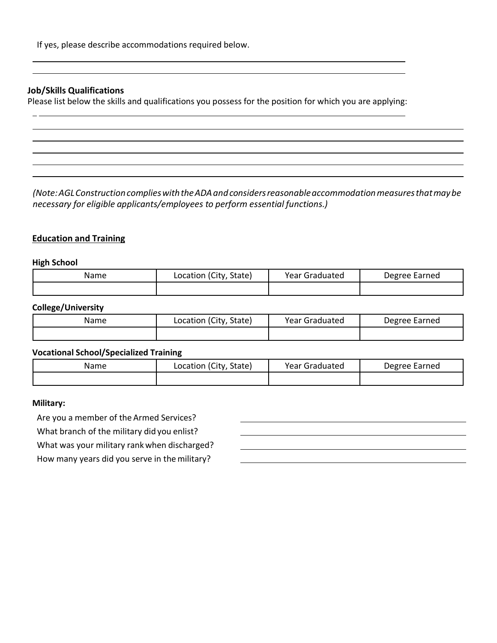## **Job/Skills Qualifications**

Please list below the skills and qualifications you possess for the position for which you are applying:

*(Note:AGLConstructioncomplieswiththeADAandconsidersreasonableaccommodationmeasuresthatmaybe necessary for eligible applicants/employees to perform essential functions.)*

#### **Education and Training**

#### **High School**

| Name | Location (City, State) | Year Graduated | Degree Earned |
|------|------------------------|----------------|---------------|
|      |                        |                |               |

#### **College/University**

| Name | Location (City, State) | Year Graduated | Degree Earned |
|------|------------------------|----------------|---------------|
|      |                        |                |               |

#### **Vocational School/Specialized Training**

| Name | Location (City, State) | <b>Year Graduated</b> | Degree Earned |
|------|------------------------|-----------------------|---------------|
|      |                        |                       |               |

#### **Military:**

Are you a member of the Armed Services? What branch of the military did you enlist? What was your military rank when discharged?

How many years did you serve in the military?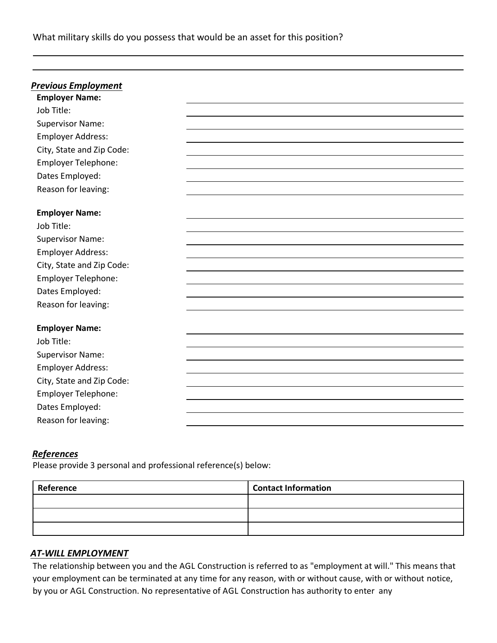What military skills do you possess that would be an asset for this position?

| <b>Previous Employment</b> |  |
|----------------------------|--|
| <b>Employer Name:</b>      |  |
| Job Title:                 |  |
| <b>Supervisor Name:</b>    |  |
| <b>Employer Address:</b>   |  |
| City, State and Zip Code:  |  |
| <b>Employer Telephone:</b> |  |
| Dates Employed:            |  |
| Reason for leaving:        |  |
|                            |  |
| <b>Employer Name:</b>      |  |
| Job Title:                 |  |
| <b>Supervisor Name:</b>    |  |
| <b>Employer Address:</b>   |  |
| City, State and Zip Code:  |  |
| <b>Employer Telephone:</b> |  |
| Dates Employed:            |  |
| Reason for leaving:        |  |
|                            |  |
| <b>Employer Name:</b>      |  |
| Job Title:                 |  |
| <b>Supervisor Name:</b>    |  |
| <b>Employer Address:</b>   |  |
| City, State and Zip Code:  |  |
| <b>Employer Telephone:</b> |  |
| Dates Employed:            |  |
| Reason for leaving:        |  |

# *References*

Please provide 3 personal and professional reference(s) below:

| Reference | <b>Contact Information</b> |
|-----------|----------------------------|
|           |                            |
|           |                            |
|           |                            |

## *AT-WILL EMPLOYMENT*

The relationship between you and the AGL Construction is referred to as "employment at will." This means that your employment can be terminated at any time for any reason, with or without cause, with or without notice, by you or AGL Construction. No representative of AGL Construction has authority to enter any